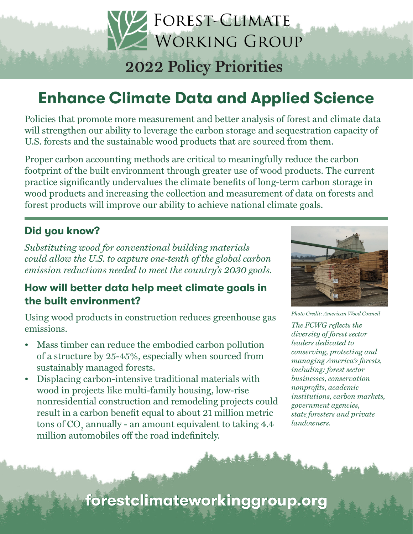# **2022 Policy Priorities**

FOREST-CLIMATE

WORKING GROUP

# Enhance Climate Data and Applied Science

Policies that promote more measurement and better analysis of forest and climate data will strengthen our ability to leverage the carbon storage and sequestration capacity of U.S. forests and the sustainable wood products that are sourced from them.

Proper carbon accounting methods are critical to meaningfully reduce the carbon footprint of the built environment through greater use of wood products. The current practice significantly undervalues the climate benefits of long-term carbon storage in wood products and increasing the collection and measurement of data on forests and forest products will improve our ability to achieve national climate goals.

### Did you know?

*Substituting wood for conventional building materials could allow the U.S. to capture one-tenth of the global carbon emission reductions needed to meet the country's 2030 goals.*

### How will better data help meet climate goals in the built environment?

Using wood products in construction reduces greenhouse gas emissions.

- Mass timber can reduce the embodied carbon pollution of a structure by 25-45%, especially when sourced from sustainably managed forests.
- Displacing carbon-intensive traditional materials with wood in projects like multi-family housing, low-rise nonresidential construction and remodeling projects could result in a carbon benefit equal to about 21 million metric tons of  $\mathrm{CO}_\mathrm{2}$  annually - an amount equivalent to taking 4.4 million automobiles off the road indefinitely.



*Photo Credit: American Wood Council*

*The FCWG reflects the diversity of forest sector leaders dedicated to conserving, protecting and managing America's forests, including: forest sector businesses, conservation nonprofits, academic institutions, carbon markets, government agencies, state foresters and private landowners.*

forestclimateworkinggroup.org